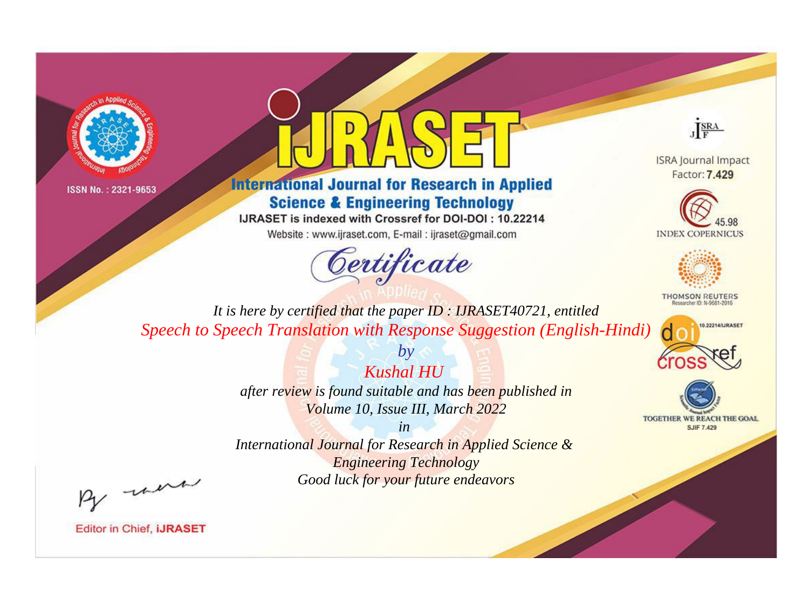



## **International Journal for Research in Applied Science & Engineering Technology**

IJRASET is indexed with Crossref for DOI-DOI: 10.22214

Website: www.ijraset.com, E-mail: ijraset@gmail.com



JERA

**ISRA Journal Impact** Factor: 7.429





**THOMSON REUTERS** 



TOGETHER WE REACH THE GOAL **SJIF 7.429** 

*It is here by certified that the paper ID : IJRASET40721, entitled Speech to Speech Translation with Response Suggestion (English-Hindi)*

*Kushal HU* 

*by*

*after review is found suitable and has been published in Volume 10, Issue III, March 2022*

*in* 

*International Journal for Research in Applied Science & Engineering Technology Good luck for your future endeavors*

By morn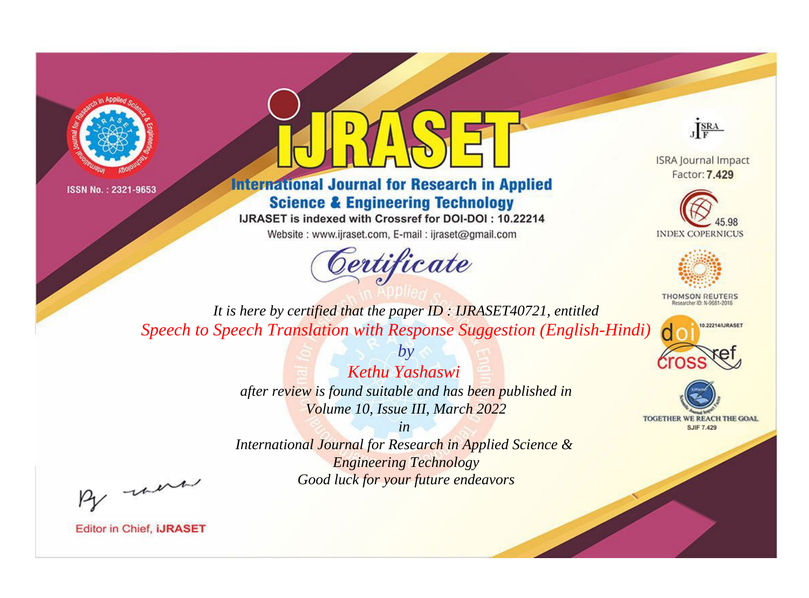



**International Journal for Research in Applied Science & Engineering Technology** 

IJRASET is indexed with Crossref for DOI-DOI: 10.22214

Website: www.ijraset.com, E-mail: ijraset@gmail.com



JERA

**ISRA Journal Impact** Factor: 7.429





**THOMSON REUTERS** 



TOGETHER WE REACH THE GOAL **SJIF 7.429** 

*It is here by certified that the paper ID : IJRASET40721, entitled Speech to Speech Translation with Response Suggestion (English-Hindi)*

> *Kethu Yashaswi after review is found suitable and has been published in Volume 10, Issue III, March 2022*

*by*

*in* 

*International Journal for Research in Applied Science & Engineering Technology Good luck for your future endeavors*

By morn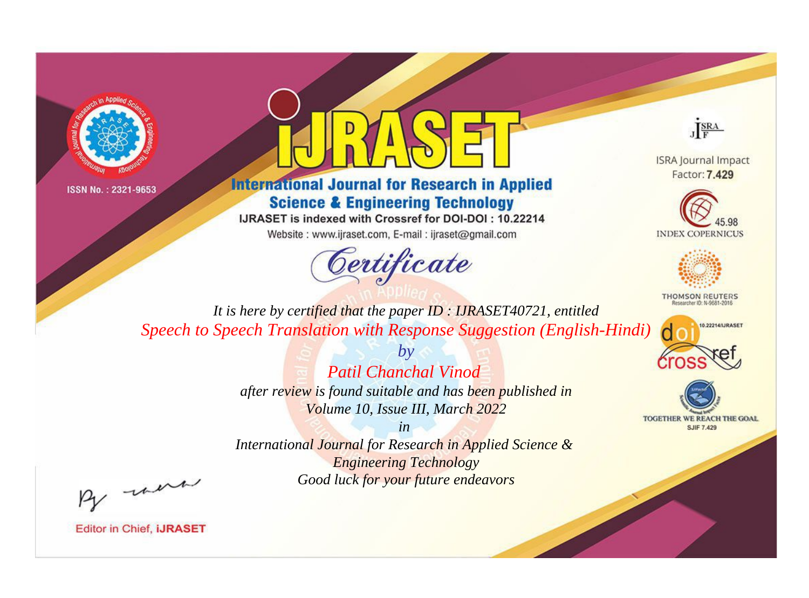



## **International Journal for Research in Applied Science & Engineering Technology**

IJRASET is indexed with Crossref for DOI-DOI: 10.22214

Website: www.ijraset.com, E-mail: ijraset@gmail.com





**ISRA Journal Impact** Factor: 7,429





**THOMSON REUTERS** 



TOGETHER WE REACH THE GOAL **SJIF 7.429** 

*It is here by certified that the paper ID : IJRASET40721, entitled Speech to Speech Translation with Response Suggestion (English-Hindi)*

> *Patil Chanchal Vinod after review is found suitable and has been published in*

*by*

*Volume 10, Issue III, March 2022*

*in* 

*International Journal for Research in Applied Science & Engineering Technology Good luck for your future endeavors*

By morn